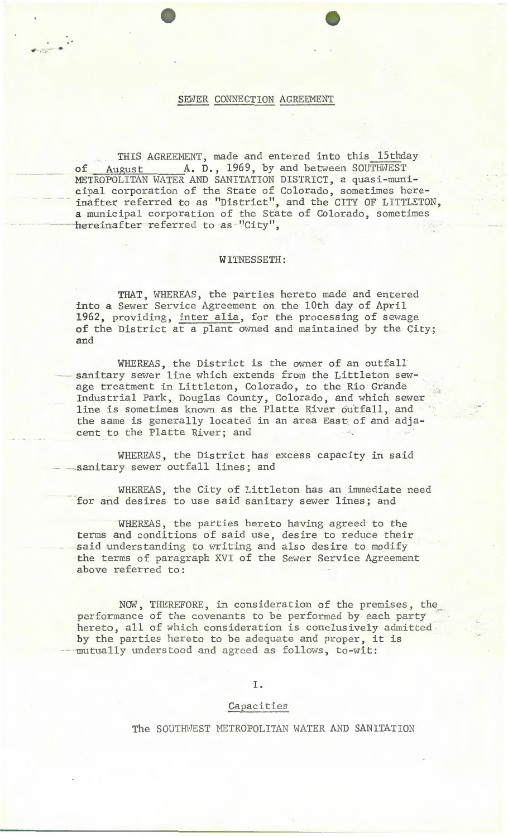## SEWER CONNECTION AGREEMENT

 $t$ 

r ..

THIS AGREEMENT, made and entered into this 15thday of August A. D., 1969, by and between SOUTHWEST METROPOLITAN WATER AND SANITATION DISTRICT, a quasi-municipal corporation of the State of Colorado, sometimes hereinafter referred to as "District", and the CITY OF LITTLETON, a municipal corporation of the State of Colorado, sometimes hereinafter referred to as "City",

### WITNESSETH:

THAT, WHEREAS, the parties hereto made and entered into a Sewer Service Agreement on the 10th day of April 1962, providing, inter alia, for the processing of sewage of the District at a plant owned and maintained by the City; and

WHEREAS, the District is the owner of an outfall sanitary sewer line which extends from the Littleton sewage treatment in Littleton, Colorado, to the Rio Grande Industrial Park, Douglas County, Colorado, and which sewer line is sometimes known as the Platte River outfall, and the same is generally located in an area East of and adjacent to the Platte River; and

WHEREAS, the District has excess capacity in said sanitary sewer outfall lines; and

WHEREAS, the City of Littleton has an immediate need for and desires to use said sanitary sewer lines; and

WHEREAS, the parties hereto having agreed to the terms and conditions of said use, desire to reduce their said understanding to writing and also desire to modify the terms of paragraph XVI of the Sewer Service Agreement above referred to:

NOW, THEREFORE, in consideration of the premises, the performance of the covenants to be performed by each party hereto, all of which consideration is conclusively admitted by the parties hereto to be adequate and proper, it is mutually understood and agreed as follows, to-wit:

I.

### Capacities

The SOUTHWEST METROPOLITAN WATER AND SANITATION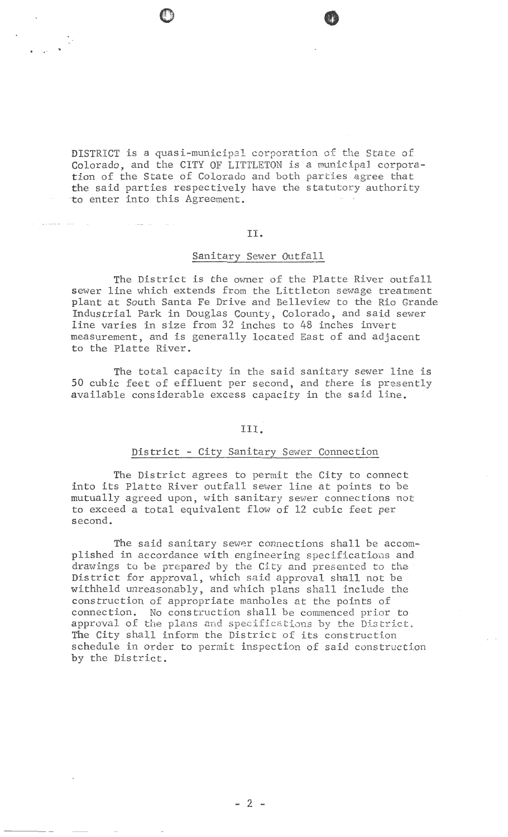. ' ..

DISTRICT is a quasi-municipal corporation of the State of Colorado, and the CITY OF LITTLETON is a municipal corporation of the State of Colorado and both parties agree that the said parties respectively have the statutory authority to enter into this Agreement.

# II.

# Sanitary Sewer Outfall

The District is the owner of the Platte River outfall sewer line which extends from the Littleton sewage treatment plant at South Santa Fe Drive and Belleview to the Rio Grande Industrial Park in Douglas County, Colorado, and said sewer line varies in size from 32 inches to 48 inches invert measurement, and is generally located East of and adjacent to the Platte River.

The total capacity in the said sanitary sewer line is 50 cubic feet of effluent per second, and there is presently available considerable excess capacity in the said line.

# III.

# District - City Sanitary Sewer Connection

The District agrees to permit the City to connect into its Platte River outfall sewer line at points to be mutually agreed upon, with sanitary sewer connections not to exceed a total equivalent flow of 12 cubic feet per second.

The said sanitary sewer connections shall be accomplished in accordance with engineering specifications and drawings to be prepared by the City and presented to the District for approval, which said approval shall not be withheld unreasonably, and which plans shall include the construction of appropriate manholes at the points of connection. No construction shall be commenced prior to approval of the plans and specifications by the District. The City shall inform the District of its construction schedule in order to permit inspection of said construction by the District.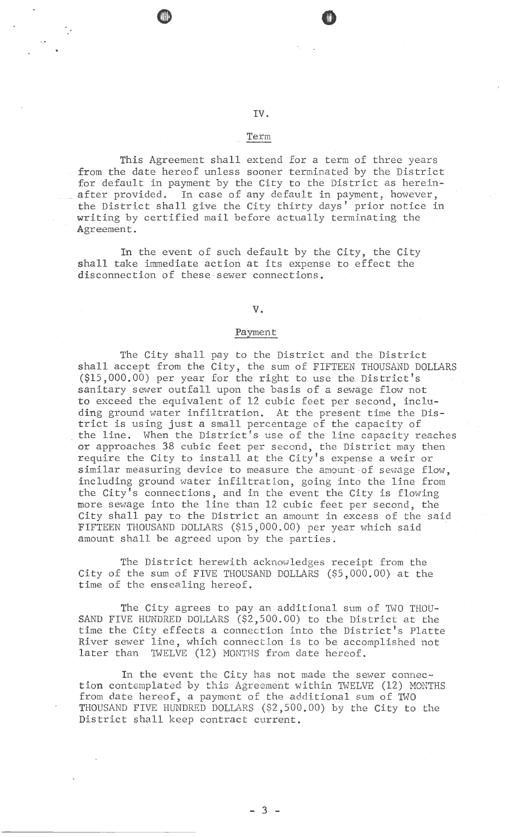# IV.

**o** 

'

# Term

This Agreement shall extend for a term of three years from the date hereof unless sooner terminated by the District for default in payment by the City to the District as herein after provided. In case of any default in payment, however, the District shall give the City thirty days' prior notice in writing by certified mail before actually terminating the Agreement.

In the event of such default by the City, the City shall take immediate action at its expense to effect the disconnection of these sewer connections.

### v.

# Payment

The City shall pay to the District and the District shall accept from the City, the sum of FIFTEEN THOUSAND DOLIARS (\$15,000.00) per year for the right to use the District's sanitary sewer outfall upon the basis of a sewage flow not to exceed the equivalent of  $12$  cubic feet per second, including ground water infiltration. At the present time the District is using just a small percentage of the capacity of the line. When the District's use of the line capacity reaches or approaches 38 cubic feet per second, the District may then require the City to install at the City's expense a weir or similar measuring device to measure the amount of sewage flow, including ground water infiltration, going into the line from the City's connections, and in the event the City is flowing more sewage into the line than 12 cubic feet per second, the City shall pay to the District an amount in excess of the said FIFTEEN THOUSAND DOLIARS (\$15,000.00) per year which said . amount shall be agreed upon by the parties.

The District herewith acknowledges receipt from the City of the sum of FIVE THOUSAND DOLIARS (\$5,000.00) at the time of the ensealing hereof.

The City agrees to pay an additional sum of TWO THOU-SAND FIVE HUNDRED DOLLARS (\$2,500.00) to the District at the time the City effects a connection into the District's Platte River sewer line, which connection is to be accomplished not later than TWELVE (12) MONTHS from date hereof.

In the event the City has not made the sewer connection contemplated by this Agreement within TWELVE (12) MONTHS from date hereof, a payment of the additional sum of TWO THOUSAND FIVE HUNDRED DOLIARS (\$2,500.00) by the City to the District shall keep contract current.

- 3 -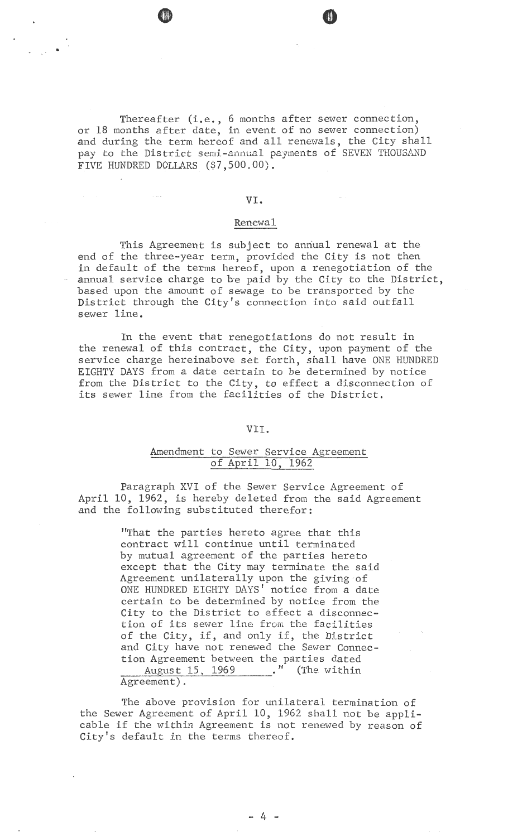Thereafter (i.e., 6 months after sewer connection, or 18 months after date, in event of no sewer connection) and during the term hereof and all renewals, the City shall pay to the District semi-annual payments of SEVEN THOUSAND FIVE HUNDRED DOLLARS (\$7,500.00).

e e

•

### VI.

#### Renewal

This Agreement is subject to anriual renewal at the end of the three-year term, provided the City is not then in default of the terms hereof, upon a renegotiation of the annual service charge to be paid by the City to the District, based upon the amount of sewage to be transported by the District through the City's connection into said outfall sewer line.

In the event that renegotiations do not result in the renewal of this contract, the City, upon payment of the service charge hereinabove set forth, shall have ONE HUNDRED EIGHTY DAYS from a date certain to be determined by notice from the District to the City, to effect a disconnection of its sewer line from the facilities of the District.

# VII.

# Amendment to Sewer Service Agreement of April 10, 1962

Paragraph XVI of the Sewer Service Agreement of April 10, 1962, is hereby deleted from the said Agreement and the following substituted therefor:

> "That the parties hereto agree that this contract will continue until terminated by mutual agreement of the parties hereto except that the City may terminate the said Agreement unilaterally upon the giving of ONE HUNDRED EIGHTY DAYS' notice from a date certain to be determined by notice from the City to the District to effect a disconnection of its sewer line from the facilities of the City, if, and only if, the District and City have not renewed the Sewer Connection Agreement between the parties dated August 15, 1969 . " (The within Agreement) .

The above provision for unilateral termination of the Sewer Agreement of April 10, 1962 shall not be applicable if the within Agreement is not renewed by reason of City's default in the terms thereof.

 $- 4 -$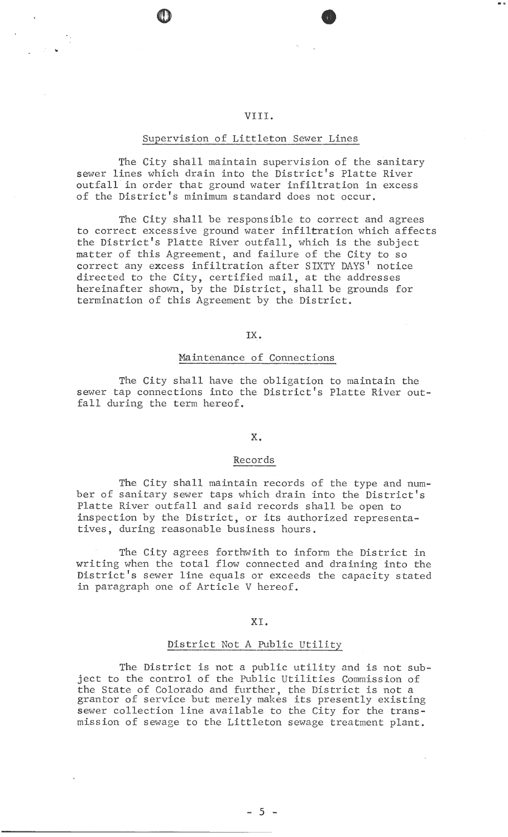**e** 

...

# Supervision of Littleton Sewer Lines

The City shall maintain supervision of the sanitary sewer lines which drain into the District's Platte River outfall in order that ground water infiltration in excess of the District's minimum standard does not occur.

The City shall be responsible to correct and agrees to correct excessive ground water infiltration which affects the District's Platte River outfall, which is the subject matter of this Agreement, and failure of the City to so correct any excess infiltration after SIXTY DAYS' notice directed to the City, certified mail, at the addresses hereinafter shown, by the District, shall be grounds for termination of this Agreement by the District.

IX.

#### Maintenance of Connections

The City shall have the obligation to maintain the sewer tap connections into the District's Platte River outfall during the term hereof.

## x.

#### Records

The City shall maintain records of the type and number of sanitary sewer taps which drain into the District's Platte River outfall and said records shall be open to inspection by the District, or its authorized representatives, during reasonable business hours.

The City agrees forthwith to inform the District in writing when the total flow connected and draining into the District's sewer line equals or exceeds the capacity stated in paragraph one of Article V hereof.

### XL

# District Not A Public Utility

The District is not a public utility and is not subject to the control of the Public Utilities Commission of the State of Colorado and further, the District is not a grantor of service but merely makes its presently existing sewer collection line available to the City for the transmission of sewage to the Littleton sewage treatment plant.

- 5 -